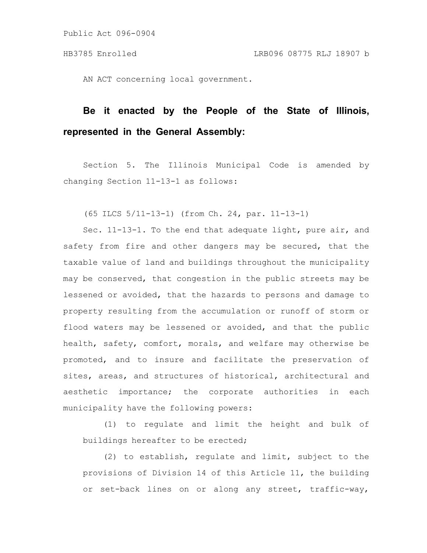AN ACT concerning local government.

## **Be it enacted by the People of the State of Illinois, represented in the General Assembly:**

Section 5. The Illinois Municipal Code is amended by changing Section 11-13-1 as follows:

(65 ILCS 5/11-13-1) (from Ch. 24, par. 11-13-1)

Sec. 11-13-1. To the end that adequate light, pure air, and safety from fire and other dangers may be secured, that the taxable value of land and buildings throughout the municipality may be conserved, that congestion in the public streets may be lessened or avoided, that the hazards to persons and damage to property resulting from the accumulation or runoff of storm or flood waters may be lessened or avoided, and that the public health, safety, comfort, morals, and welfare may otherwise be promoted, and to insure and facilitate the preservation of sites, areas, and structures of historical, architectural and aesthetic importance; the corporate authorities in each municipality have the following powers:

(1) to regulate and limit the height and bulk of buildings hereafter to be erected;

(2) to establish, regulate and limit, subject to the provisions of Division 14 of this Article 11, the building or set-back lines on or along any street, traffic-way,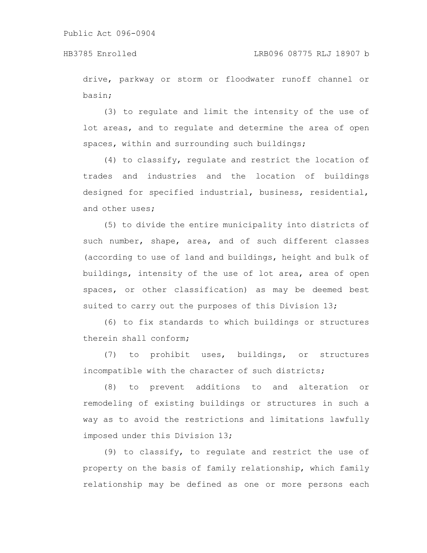drive, parkway or storm or floodwater runoff channel or basin;

(3) to regulate and limit the intensity of the use of lot areas, and to regulate and determine the area of open spaces, within and surrounding such buildings;

(4) to classify, regulate and restrict the location of trades and industries and the location of buildings designed for specified industrial, business, residential, and other uses;

(5) to divide the entire municipality into districts of such number, shape, area, and of such different classes (according to use of land and buildings, height and bulk of buildings, intensity of the use of lot area, area of open spaces, or other classification) as may be deemed best suited to carry out the purposes of this Division 13;

(6) to fix standards to which buildings or structures therein shall conform;

(7) to prohibit uses, buildings, or structures incompatible with the character of such districts;

(8) to prevent additions to and alteration or remodeling of existing buildings or structures in such a way as to avoid the restrictions and limitations lawfully imposed under this Division 13;

(9) to classify, to regulate and restrict the use of property on the basis of family relationship, which family relationship may be defined as one or more persons each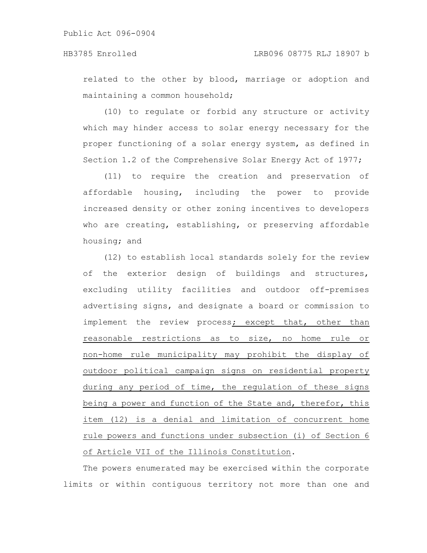Public Act 096-0904

related to the other by blood, marriage or adoption and maintaining a common household;

(10) to regulate or forbid any structure or activity which may hinder access to solar energy necessary for the proper functioning of a solar energy system, as defined in Section 1.2 of the Comprehensive Solar Energy Act of 1977;

(11) to require the creation and preservation of affordable housing, including the power to provide increased density or other zoning incentives to developers who are creating, establishing, or preserving affordable housing; and

(12) to establish local standards solely for the review of the exterior design of buildings and structures, excluding utility facilities and outdoor off-premises advertising signs, and designate a board or commission to implement the review process; except that, other than reasonable restrictions as to size, no home rule or non-home rule municipality may prohibit the display of outdoor political campaign signs on residential property during any period of time, the regulation of these signs being a power and function of the State and, therefor, this item (12) is a denial and limitation of concurrent home rule powers and functions under subsection (i) of Section 6 of Article VII of the Illinois Constitution.

The powers enumerated may be exercised within the corporate limits or within contiguous territory not more than one and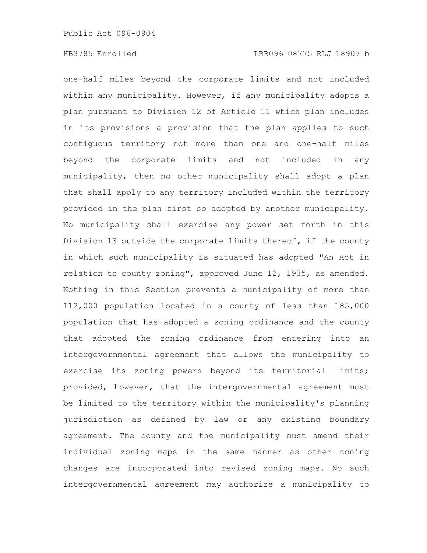one-half miles beyond the corporate limits and not included within any municipality. However, if any municipality adopts a plan pursuant to Division 12 of Article 11 which plan includes in its provisions a provision that the plan applies to such contiguous territory not more than one and one-half miles beyond the corporate limits and not included in any municipality, then no other municipality shall adopt a plan that shall apply to any territory included within the territory provided in the plan first so adopted by another municipality. No municipality shall exercise any power set forth in this Division 13 outside the corporate limits thereof, if the county in which such municipality is situated has adopted "An Act in relation to county zoning", approved June 12, 1935, as amended. Nothing in this Section prevents a municipality of more than 112,000 population located in a county of less than 185,000 population that has adopted a zoning ordinance and the county that adopted the zoning ordinance from entering into an intergovernmental agreement that allows the municipality to exercise its zoning powers beyond its territorial limits; provided, however, that the intergovernmental agreement must be limited to the territory within the municipality's planning jurisdiction as defined by law or any existing boundary agreement. The county and the municipality must amend their individual zoning maps in the same manner as other zoning changes are incorporated into revised zoning maps. No such intergovernmental agreement may authorize a municipality to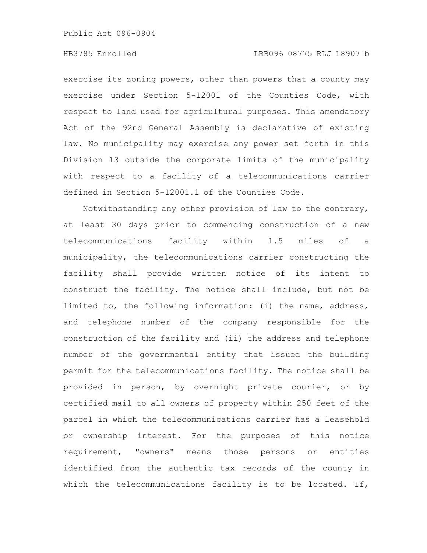Public Act 096-0904

## HB3785 Enrolled LRB096 08775 RLJ 18907 b

exercise its zoning powers, other than powers that a county may exercise under Section 5-12001 of the Counties Code, with respect to land used for agricultural purposes. This amendatory Act of the 92nd General Assembly is declarative of existing law. No municipality may exercise any power set forth in this Division 13 outside the corporate limits of the municipality with respect to a facility of a telecommunications carrier defined in Section 5-12001.1 of the Counties Code.

Notwithstanding any other provision of law to the contrary, at least 30 days prior to commencing construction of a new telecommunications facility within 1.5 miles of a municipality, the telecommunications carrier constructing the facility shall provide written notice of its intent to construct the facility. The notice shall include, but not be limited to, the following information: (i) the name, address, and telephone number of the company responsible for the construction of the facility and (ii) the address and telephone number of the governmental entity that issued the building permit for the telecommunications facility. The notice shall be provided in person, by overnight private courier, or by certified mail to all owners of property within 250 feet of the parcel in which the telecommunications carrier has a leasehold or ownership interest. For the purposes of this notice requirement, "owners" means those persons or entities identified from the authentic tax records of the county in which the telecommunications facility is to be located. If,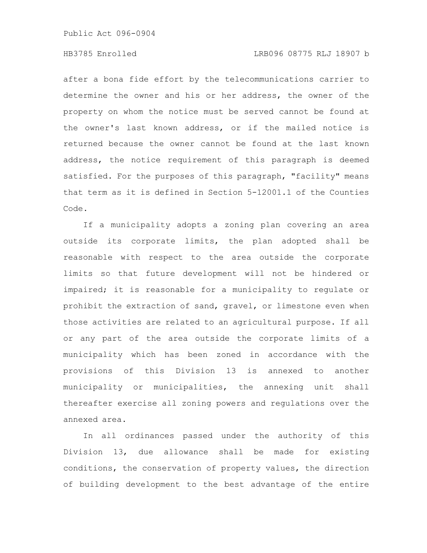Public Act 096-0904

## HB3785 Enrolled LRB096 08775 RLJ 18907 b

after a bona fide effort by the telecommunications carrier to determine the owner and his or her address, the owner of the property on whom the notice must be served cannot be found at the owner's last known address, or if the mailed notice is returned because the owner cannot be found at the last known address, the notice requirement of this paragraph is deemed satisfied. For the purposes of this paragraph, "facility" means that term as it is defined in Section 5-12001.1 of the Counties Code.

If a municipality adopts a zoning plan covering an area outside its corporate limits, the plan adopted shall be reasonable with respect to the area outside the corporate limits so that future development will not be hindered or impaired; it is reasonable for a municipality to regulate or prohibit the extraction of sand, gravel, or limestone even when those activities are related to an agricultural purpose. If all or any part of the area outside the corporate limits of a municipality which has been zoned in accordance with the provisions of this Division 13 is annexed to another municipality or municipalities, the annexing unit shall thereafter exercise all zoning powers and regulations over the annexed area.

In all ordinances passed under the authority of this Division 13, due allowance shall be made for existing conditions, the conservation of property values, the direction of building development to the best advantage of the entire